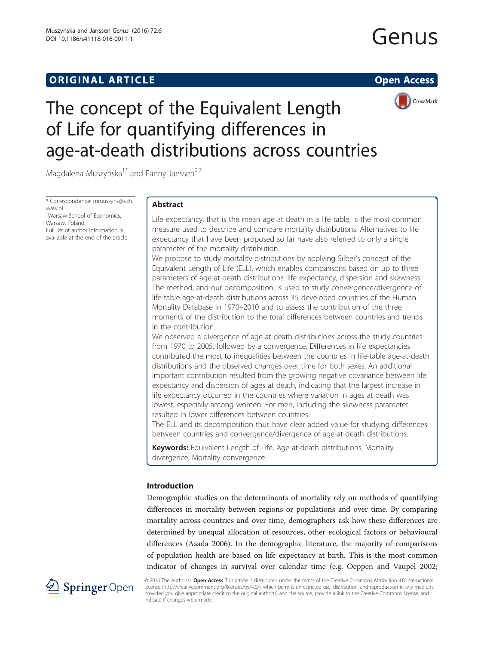### **ORIGINAL ARTICLE CONSUMING A LIGACION** CONSUMING A LIGACION CONSUMING A LIGACION CONSUMING A LIGACION CONSUMING A LIGACION CONSUMING A LIGACION CONSUMING A LIGACION CONSUMING A LIGACION CONSUMING A LIGACION CONSUMING A

# Genus



## The concept of the Equivalent Length of Life for quantifying differences in age-at-death distributions across countries

Magdalena Muszyńska<sup>1\*</sup> and Fanny Janssen<sup>2,3</sup>

\* Correspondence: [mmuszyns@sgh.](mailto:mmuszyns@sgh.waw.pl) [waw.pl](mailto:mmuszyns@sgh.waw.pl) <sup>1</sup>Warsaw School of Economics, Warsaw, Poland Full list of author information is available at the end of the article

#### Abstract

Life expectancy, that is the mean age at death in a life table, is the most common measure used to describe and compare mortality distributions. Alternatives to life expectancy that have been proposed so far have also referred to only a single parameter of the mortality distribution.

We propose to study mortality distributions by applying Silber's concept of the Equivalent Length of Life (ELL), which enables comparisons based on up to three parameters of age-at-death distributions: life expectancy, dispersion and skewness. The method, and our decomposition, is used to study convergence/divergence of life-table age-at-death distributions across 35 developed countries of the Human Mortality Database in 1970–2010 and to assess the contribution of the three moments of the distribution to the total differences between countries and trends in the contribution.

We observed a divergence of age-at-death distributions across the study countries from 1970 to 2005, followed by a convergence. Differences in life expectancies contributed the most to inequalities between the countries in life-table age-at-death distributions and the observed changes over time for both sexes. An additional important contribution resulted from the growing negative covariance between life expectancy and dispersion of ages at death, indicating that the largest increase in life expectancy occurred in the countries where variation in ages at death was lowest, especially among women. For men, including the skewness parameter resulted in lower differences between countries.

The ELL and its decomposition thus have clear added value for studying differences between countries and convergence/divergence of age-at-death distributions.

Keywords: Equivalent Length of Life, Age-at-death distributions, Mortality divergence, Mortality convergence

#### Introduction

Demographic studies on the determinants of mortality rely on methods of quantifying differences in mortality between regions or populations and over time. By comparing mortality across countries and over time, demographers ask how these differences are determined by unequal allocation of resources, other ecological factors or behavioural differences (Asada [2006](#page-13-0)). In the demographic literature, the majority of comparisons of population health are based on life expectancy at birth. This is the most common indicator of changes in survival over calendar time (e.g. Oeppen and Vaupel [2002](#page-13-0);



© 2016 The Author(s). Open Access This article is distributed under the terms of the Creative Commons Attribution 4.0 International License [\(http://creativecommons.org/licenses/by/4.0/](http://creativecommons.org/licenses/by/4.0/)), which permits unrestricted use, distribution, and reproduction in any medium, provided you give appropriate credit to the original author(s) and the source, provide a link to the Creative Commons license, and indicate if changes were made.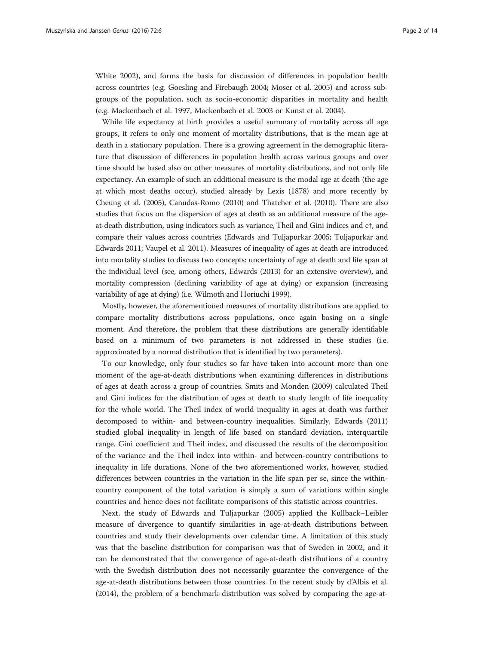White [2002](#page-13-0)), and forms the basis for discussion of differences in population health across countries (e.g. Goesling and Firebaugh [2004](#page-13-0); Moser et al. [2005](#page-13-0)) and across subgroups of the population, such as socio-economic disparities in mortality and health (e.g. Mackenbach et al. [1997](#page-13-0), Mackenbach et al. [2003](#page-13-0) or Kunst et al. [2004](#page-13-0)).

While life expectancy at birth provides a useful summary of mortality across all age groups, it refers to only one moment of mortality distributions, that is the mean age at death in a stationary population. There is a growing agreement in the demographic literature that discussion of differences in population health across various groups and over time should be based also on other measures of mortality distributions, and not only life expectancy. An example of such an additional measure is the modal age at death (the age at which most deaths occur), studied already by Lexis [\(1878](#page-13-0)) and more recently by Cheung et al. ([2005](#page-13-0)), Canudas-Romo ([2010\)](#page-13-0) and Thatcher et al. ([2010](#page-13-0)). There are also studies that focus on the dispersion of ages at death as an additional measure of the ageat-death distribution, using indicators such as variance, Theil and Gini indices and e†, and compare their values across countries (Edwards and Tuljapurkar [2005;](#page-13-0) Tuljapurkar and Edwards [2011;](#page-13-0) Vaupel et al. [2011\)](#page-13-0). Measures of inequality of ages at death are introduced into mortality studies to discuss two concepts: uncertainty of age at death and life span at the individual level (see, among others, Edwards [\(2013](#page-13-0)) for an extensive overview), and mortality compression (declining variability of age at dying) or expansion (increasing variability of age at dying) (i.e. Wilmoth and Horiuchi [1999\)](#page-13-0).

Mostly, however, the aforementioned measures of mortality distributions are applied to compare mortality distributions across populations, once again basing on a single moment. And therefore, the problem that these distributions are generally identifiable based on a minimum of two parameters is not addressed in these studies (i.e. approximated by a normal distribution that is identified by two parameters).

To our knowledge, only four studies so far have taken into account more than one moment of the age-at-death distributions when examining differences in distributions of ages at death across a group of countries. Smits and Monden ([2009](#page-13-0)) calculated Theil and Gini indices for the distribution of ages at death to study length of life inequality for the whole world. The Theil index of world inequality in ages at death was further decomposed to within- and between-country inequalities. Similarly, Edwards ([2011](#page-13-0)) studied global inequality in length of life based on standard deviation, interquartile range, Gini coefficient and Theil index, and discussed the results of the decomposition of the variance and the Theil index into within- and between-country contributions to inequality in life durations. None of the two aforementioned works, however, studied differences between countries in the variation in the life span per se, since the withincountry component of the total variation is simply a sum of variations within single countries and hence does not facilitate comparisons of this statistic across countries.

Next, the study of Edwards and Tuljapurkar [\(2005\)](#page-13-0) applied the Kullback–Leibler measure of divergence to quantify similarities in age-at-death distributions between countries and study their developments over calendar time. A limitation of this study was that the baseline distribution for comparison was that of Sweden in 2002, and it can be demonstrated that the convergence of age-at-death distributions of a country with the Swedish distribution does not necessarily guarantee the convergence of the age-at-death distributions between those countries. In the recent study by d'Albis et al. ([2014](#page-13-0)), the problem of a benchmark distribution was solved by comparing the age-at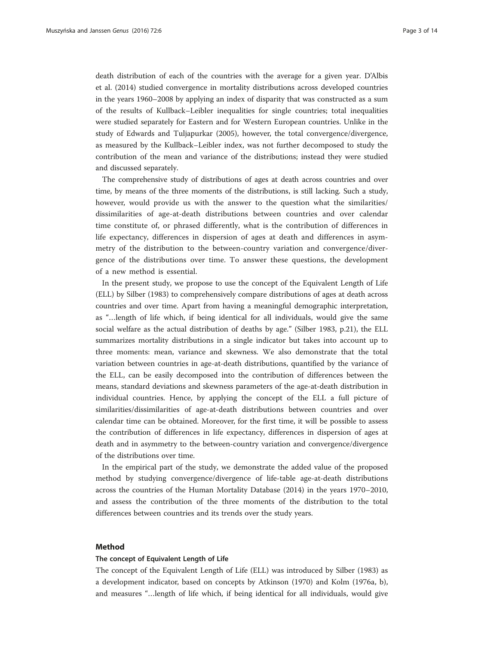death distribution of each of the countries with the average for a given year. D'Albis et al. ([2014](#page-13-0)) studied convergence in mortality distributions across developed countries in the years 1960–2008 by applying an index of disparity that was constructed as a sum of the results of Kullback–Leibler inequalities for single countries; total inequalities were studied separately for Eastern and for Western European countries. Unlike in the study of Edwards and Tuljapurkar [\(2005\)](#page-13-0), however, the total convergence/divergence, as measured by the Kullback–Leibler index, was not further decomposed to study the contribution of the mean and variance of the distributions; instead they were studied and discussed separately.

The comprehensive study of distributions of ages at death across countries and over time, by means of the three moments of the distributions, is still lacking. Such a study, however, would provide us with the answer to the question what the similarities/ dissimilarities of age-at-death distributions between countries and over calendar time constitute of, or phrased differently, what is the contribution of differences in life expectancy, differences in dispersion of ages at death and differences in asymmetry of the distribution to the between-country variation and convergence/divergence of the distributions over time. To answer these questions, the development of a new method is essential.

In the present study, we propose to use the concept of the Equivalent Length of Life (ELL) by Silber [\(1983\)](#page-13-0) to comprehensively compare distributions of ages at death across countries and over time. Apart from having a meaningful demographic interpretation, as "…length of life which, if being identical for all individuals, would give the same social welfare as the actual distribution of deaths by age." (Silber [1983](#page-13-0), p.21), the ELL summarizes mortality distributions in a single indicator but takes into account up to three moments: mean, variance and skewness. We also demonstrate that the total variation between countries in age-at-death distributions, quantified by the variance of the ELL, can be easily decomposed into the contribution of differences between the means, standard deviations and skewness parameters of the age-at-death distribution in individual countries. Hence, by applying the concept of the ELL a full picture of similarities/dissimilarities of age-at-death distributions between countries and over calendar time can be obtained. Moreover, for the first time, it will be possible to assess the contribution of differences in life expectancy, differences in dispersion of ages at death and in asymmetry to the between-country variation and convergence/divergence of the distributions over time.

In the empirical part of the study, we demonstrate the added value of the proposed method by studying convergence/divergence of life-table age-at-death distributions across the countries of the Human Mortality Database ([2014](#page-13-0)) in the years 1970–2010, and assess the contribution of the three moments of the distribution to the total differences between countries and its trends over the study years.

#### Method

#### The concept of Equivalent Length of Life

The concept of the Equivalent Length of Life (ELL) was introduced by Silber [\(1983\)](#page-13-0) as a development indicator, based on concepts by Atkinson [\(1970](#page-13-0)) and Kolm [\(1976a](#page-13-0), [b](#page-13-0)), and measures "…length of life which, if being identical for all individuals, would give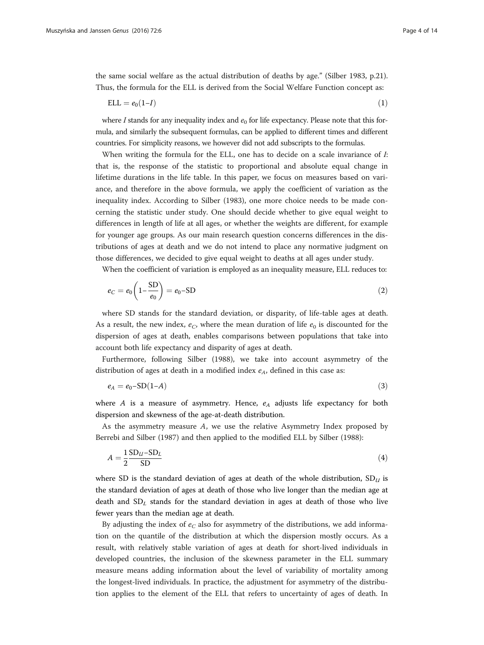the same social welfare as the actual distribution of deaths by age." (Silber [1983,](#page-13-0) p.21). Thus, the formula for the ELL is derived from the Social Welfare Function concept as:

$$
ELL = e_0(1-I) \tag{1}
$$

where I stands for any inequality index and  $e_0$  for life expectancy. Please note that this formula, and similarly the subsequent formulas, can be applied to different times and different countries. For simplicity reasons, we however did not add subscripts to the formulas.

When writing the formula for the ELL, one has to decide on a scale invariance of I: that is, the response of the statistic to proportional and absolute equal change in lifetime durations in the life table. In this paper, we focus on measures based on variance, and therefore in the above formula, we apply the coefficient of variation as the inequality index. According to Silber [\(1983\)](#page-13-0), one more choice needs to be made concerning the statistic under study. One should decide whether to give equal weight to differences in length of life at all ages, or whether the weights are different, for example for younger age groups. As our main research question concerns differences in the distributions of ages at death and we do not intend to place any normative judgment on those differences, we decided to give equal weight to deaths at all ages under study.

When the coefficient of variation is employed as an inequality measure, ELL reduces to:

$$
e_C = e_0 \left( 1 - \frac{\text{SD}}{e_0} \right) = e_0 - \text{SD}
$$
\n<sup>(2)</sup>

where SD stands for the standard deviation, or disparity, of life-table ages at death. As a result, the new index,  $e_C$ , where the mean duration of life  $e_0$  is discounted for the dispersion of ages at death, enables comparisons between populations that take into account both life expectancy and disparity of ages at death.

Furthermore, following Silber ([1988\)](#page-13-0), we take into account asymmetry of the distribution of ages at death in a modified index  $e_A$ , defined in this case as:

$$
e_A = e_0 - SD(1 - A) \tag{3}
$$

where A is a measure of asymmetry. Hence,  $e_A$  adjusts life expectancy for both dispersion and skewness of the age-at-death distribution.

As the asymmetry measure A, we use the relative Asymmetry Index proposed by Berrebi and Silber ([1987](#page-13-0)) and then applied to the modified ELL by Silber ([1988](#page-13-0)):

$$
A = \frac{1}{2} \frac{\text{SD}_{U} - \text{SD}_{L}}{\text{SD}}
$$
\n
$$
\tag{4}
$$

where SD is the standard deviation of ages at death of the whole distribution,  $SD_U$  is the standard deviation of ages at death of those who live longer than the median age at death and  $SD<sub>L</sub>$  stands for the standard deviation in ages at death of those who live fewer years than the median age at death.

By adjusting the index of  $e_C$  also for asymmetry of the distributions, we add information on the quantile of the distribution at which the dispersion mostly occurs. As a result, with relatively stable variation of ages at death for short-lived individuals in developed countries, the inclusion of the skewness parameter in the ELL summary measure means adding information about the level of variability of mortality among the longest-lived individuals. In practice, the adjustment for asymmetry of the distribution applies to the element of the ELL that refers to uncertainty of ages of death. In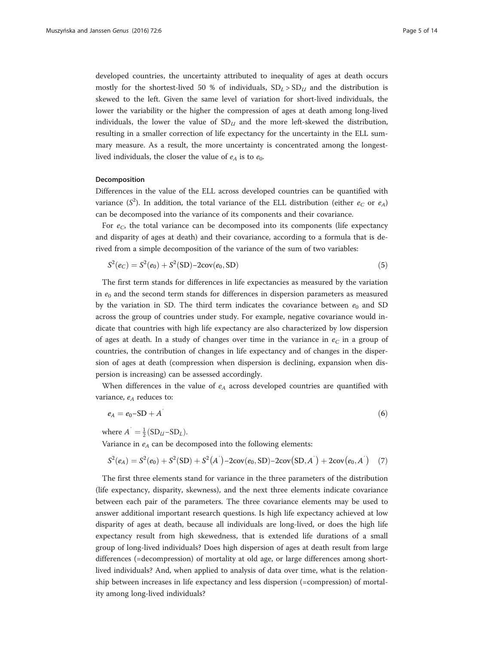developed countries, the uncertainty attributed to inequality of ages at death occurs mostly for the shortest-lived 50 % of individuals,  $SD_L > SD_U$  and the distribution is skewed to the left. Given the same level of variation for short-lived individuals, the lower the variability or the higher the compression of ages at death among long-lived individuals, the lower the value of  $SD_U$  and the more left-skewed the distribution, resulting in a smaller correction of life expectancy for the uncertainty in the ELL summary measure. As a result, the more uncertainty is concentrated among the longestlived individuals, the closer the value of  $e_A$  is to  $e_0$ .

#### Decomposition

Differences in the value of the ELL across developed countries can be quantified with variance ( $S^2$ ). In addition, the total variance of the ELL distribution (either  $e_C$  or  $e_A$ ) can be decomposed into the variance of its components and their covariance.

For  $e_C$ , the total variance can be decomposed into its components (life expectancy and disparity of ages at death) and their covariance, according to a formula that is derived from a simple decomposition of the variance of the sum of two variables:

$$
S^{2}(e_{C}) = S^{2}(e_{0}) + S^{2}(SD) - 2cov(e_{0}, SD)
$$
\n(5)

The first term stands for differences in life expectancies as measured by the variation in  $e_0$  and the second term stands for differences in dispersion parameters as measured by the variation in SD. The third term indicates the covariance between  $e_0$  and SD across the group of countries under study. For example, negative covariance would indicate that countries with high life expectancy are also characterized by low dispersion of ages at death. In a study of changes over time in the variance in  $e<sub>C</sub>$  in a group of countries, the contribution of changes in life expectancy and of changes in the dispersion of ages at death (compression when dispersion is declining, expansion when dispersion is increasing) can be assessed accordingly.

When differences in the value of  $e_A$  across developed countries are quantified with variance,  $e_A$  reduces to:

$$
e_A = e_0 - SD + A \tag{6}
$$

where  $A^{'} = \frac{1}{2} (SD_{U} - SD_{L}).$ 

Variance in  $e_A$  can be decomposed into the following elements:

$$
S^{2}(e_{A}) = S^{2}(e_{0}) + S^{2}(SD) + S^{2}(A^{'}) - 2cov(e_{0}, SD) - 2cov(SD, A^{'}) + 2cov(e_{0}, A^{'})
$$
 (7)

The first three elements stand for variance in the three parameters of the distribution (life expectancy, disparity, skewness), and the next three elements indicate covariance between each pair of the parameters. The three covariance elements may be used to answer additional important research questions. Is high life expectancy achieved at low disparity of ages at death, because all individuals are long-lived, or does the high life expectancy result from high skewedness, that is extended life durations of a small group of long-lived individuals? Does high dispersion of ages at death result from large differences (=decompression) of mortality at old age, or large differences among shortlived individuals? And, when applied to analysis of data over time, what is the relationship between increases in life expectancy and less dispersion (=compression) of mortality among long-lived individuals?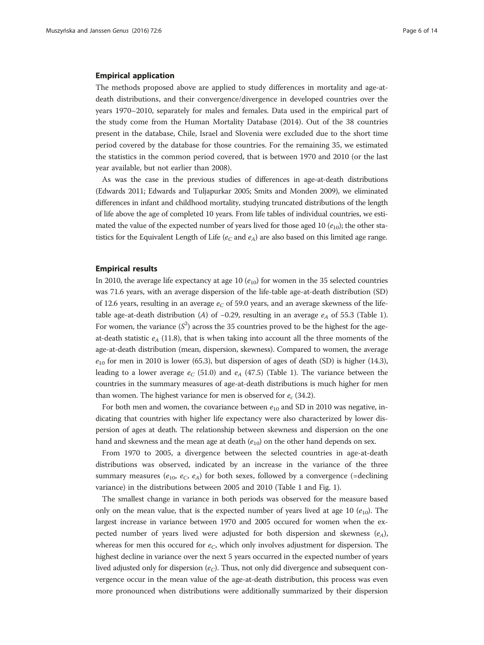#### Empirical application

The methods proposed above are applied to study differences in mortality and age-atdeath distributions, and their convergence/divergence in developed countries over the years 1970–2010, separately for males and females. Data used in the empirical part of the study come from the Human Mortality Database [\(2014\)](#page-13-0). Out of the 38 countries present in the database, Chile, Israel and Slovenia were excluded due to the short time period covered by the database for those countries. For the remaining 35, we estimated the statistics in the common period covered, that is between 1970 and 2010 (or the last year available, but not earlier than 2008).

As was the case in the previous studies of differences in age-at-death distributions (Edwards [2011;](#page-13-0) Edwards and Tuljapurkar [2005](#page-13-0); Smits and Monden [2009](#page-13-0)), we eliminated differences in infant and childhood mortality, studying truncated distributions of the length of life above the age of completed 10 years. From life tables of individual countries, we estimated the value of the expected number of years lived for those aged 10  $(e_{10})$ ; the other statistics for the Equivalent Length of Life ( $e_C$  and  $e_A$ ) are also based on this limited age range.

#### Empirical results

In 2010, the average life expectancy at age 10  $(e_{10})$  for women in the 35 selected countries was 71.6 years, with an average dispersion of the life-table age-at-death distribution (SD) of 12.6 years, resulting in an average  $e_C$  of 59.0 years, and an average skewness of the lifetable age-at-death distribution (A) of -0.29, resulting in an average  $e_A$  of 55.3 (Table [1](#page-6-0)). For women, the variance  $(S^2)$  across the 35 countries proved to be the highest for the ageat-death statistic  $e_A$  (11.8), that is when taking into account all the three moments of the age-at-death distribution (mean, dispersion, skewness). Compared to women, the average  $e_{10}$  for men in 2010 is lower (65.3), but dispersion of ages of death (SD) is higher (14.3), leading to a lower average  $e_C$  (51.0) and  $e_A$  (47.5) (Table [1\)](#page-6-0). The variance between the countries in the summary measures of age-at-death distributions is much higher for men than women. The highest variance for men is observed for  $e_c$  (34.2).

For both men and women, the covariance between  $e_{10}$  and SD in 2010 was negative, indicating that countries with higher life expectancy were also characterized by lower dispersion of ages at death. The relationship between skewness and dispersion on the one hand and skewness and the mean age at death  $(e_{10})$  on the other hand depends on sex.

From 1970 to 2005, a divergence between the selected countries in age-at-death distributions was observed, indicated by an increase in the variance of the three summary measures ( $e_{10}$ ,  $e_C$ ,  $e_A$ ) for both sexes, followed by a convergence (=declining variance) in the distributions between 2005 and 2010 (Table [1](#page-6-0) and Fig. [1\)](#page-7-0).

The smallest change in variance in both periods was observed for the measure based only on the mean value, that is the expected number of years lived at age 10  $(e_{10})$ . The largest increase in variance between 1970 and 2005 occured for women when the expected number of years lived were adjusted for both dispersion and skewness  $(e_A)$ , whereas for men this occured for  $e_C$ , which only involves adjustment for dispersion. The highest decline in variance over the next 5 years occurred in the expected number of years lived adjusted only for dispersion  $(e_C)$ . Thus, not only did divergence and subsequent convergence occur in the mean value of the age-at-death distribution, this process was even more pronounced when distributions were additionally summarized by their dispersion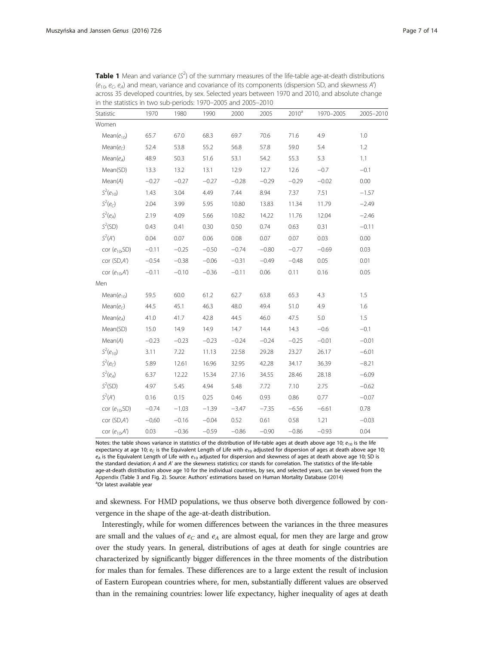| in the statistics in two sub-periods: 1970-2005 and 2005-2010 |         |         |         |         |         |                   |           |           |
|---------------------------------------------------------------|---------|---------|---------|---------|---------|-------------------|-----------|-----------|
| Statistic                                                     | 1970    | 1980    | 1990    | 2000    | 2005    | 2010 <sup>a</sup> | 1970-2005 | 2005-2010 |
| Women                                                         |         |         |         |         |         |                   |           |           |
| $Mean(e_{10})$                                                | 65.7    | 67.0    | 68.3    | 69.7    | 70.6    | 71.6              | 4.9       | 1.0       |
| Mean(e <sub>c</sub> )                                         | 52.4    | 53.8    | 55.2    | 56.8    | 57.8    | 59.0              | 5.4       | 1.2       |
| Mean(e <sub>A</sub> )                                         | 48.9    | 50.3    | 51.6    | 53.1    | 54.2    | 55.3              | 5.3       | 1.1       |
| Mean(SD)                                                      | 13.3    | 13.2    | 13.1    | 12.9    | 12.7    | 12.6              | $-0.7$    | $-0.1$    |
| Mean(A)                                                       | $-0.27$ | $-0.27$ | $-0.27$ | $-0.28$ | $-0.29$ | $-0.29$           | $-0.02$   | 0.00      |
| $S^2(e_{10})$                                                 | 1.43    | 3.04    | 4.49    | 7.44    | 8.94    | 7.37              | 7.51      | $-1.57$   |
| $S^2(e_C)$                                                    | 2.04    | 3.99    | 5.95    | 10.80   | 13.83   | 11.34             | 11.79     | $-2.49$   |
| $S^2(e_A)$                                                    | 2.19    | 4.09    | 5.66    | 10.82   | 14.22   | 11.76             | 12.04     | $-2.46$   |
| $S^2(SD)$                                                     | 0.43    | 0.41    | 0.30    | 0.50    | 0.74    | 0.63              | 0.31      | $-0.11$   |
| $S^2(A')$                                                     | 0.04    | 0.07    | 0.06    | 0.08    | 0.07    | 0.07              | 0.03      | 0.00      |
| cor $(e_{10}SD)$                                              | $-0.11$ | $-0.25$ | $-0.50$ | $-0.74$ | $-0.80$ | $-0.77$           | $-0.69$   | 0.03      |
| cor (SD,A')                                                   | $-0.54$ | $-0.38$ | $-0.06$ | $-0.31$ | $-0.49$ | $-0.48$           | 0.05      | 0.01      |
| cor $(e_{10}A)$                                               | $-0.11$ | $-0.10$ | $-0.36$ | $-0.11$ | 0.06    | 0.11              | 0.16      | 0.05      |
| Men                                                           |         |         |         |         |         |                   |           |           |
| $Mean(e_{10})$                                                | 59.5    | 60.0    | 61.2    | 62.7    | 63.8    | 65.3              | 4.3       | 1.5       |
| Mean(e <sub>c</sub> )                                         | 44.5    | 45.1    | 46.3    | 48.0    | 49.4    | 51.0              | 4.9       | 1.6       |
| Mean(e <sub>A</sub> )                                         | 41.0    | 41.7    | 42.8    | 44.5    | 46.0    | 47.5              | 5.0       | 1.5       |
| Mean(SD)                                                      | 15.0    | 14.9    | 14.9    | 14.7    | 14.4    | 14.3              | $-0.6$    | $-0.1$    |
| Mean(A)                                                       | $-0.23$ | $-0.23$ | $-0.23$ | $-0.24$ | $-0.24$ | $-0.25$           | $-0.01$   | $-0.01$   |
| $S^2(e_{10})$                                                 | 3.11    | 7.22    | 11.13   | 22.58   | 29.28   | 23.27             | 26.17     | $-6.01$   |
| $S^2(e_C)$                                                    | 5.89    | 12.61   | 16.96   | 32.95   | 42.28   | 34.17             | 36.39     | $-8.21$   |
| $S^2(e_A)$                                                    | 6.37    | 12.22   | 15.34   | 27.16   | 34.55   | 28.46             | 28.18     | $-6.09$   |
| $S^2(SD)$                                                     | 4.97    | 5.45    | 4.94    | 5.48    | 7.72    | 7.10              | 2.75      | $-0.62$   |
| $S^2(A')$                                                     | 0.16    | 0.15    | 0.25    | 0.46    | 0.93    | 0.86              | 0.77      | $-0.07$   |
| cor $(e_{10}$ , SD)                                           | $-0.74$ | $-1.03$ | $-1.39$ | $-3.47$ | $-7.35$ | $-6.56$           | $-6.61$   | 0.78      |
| cor (SD,A')                                                   | $-0,60$ | $-0.16$ | $-0.04$ | 0.52    | 0.61    | 0.58              | 1.21      | $-0.03$   |
| cor $(e_{10}A)$                                               | 0.03    | $-0.36$ | $-0.59$ | $-0.86$ | $-0.90$ | $-0.86$           | $-0.93$   | 0.04      |

<span id="page-6-0"></span>Table 1 Mean and variance (S<sup>2</sup>) of the summary measures of the life-table age-at-death distributions  $(e_{10}, e_{0}e_{0})$  and mean, variance and covariance of its components (dispersion SD, and skewness A') across 35 developed countries, by sex. Selected years between 1970 and 2010, and absolute change

Notes: the table shows variance in statistics of the distribution of life-table ages at death above age 10;  $e_{10}$  is the life expectancy at age 10;  $e_c$  is the Equivalent Length of Life with  $e_{10}$  adjusted for dispersion of ages at death above age 10;  $e_A$  is the Equivalent Length of Life with  $e_{10}$  adjusted for dispersion and skewness of ages at death above age 10; SD is the standard deviation; A and A' are the skewness statistics; cor stands for correlation. The statistics of the life-table age-at-death distribution above age 10 for the individual countries, by sex, and selected years, can be viewed from the [Appendix](#page-11-0) (Table 3 and Fig. 2). Source: Authors' estimations based on Human Mortality Database [\(2014\)](#page-13-0) <sup>a</sup> <sup>a</sup>Or latest available year

and skewness. For HMD populations, we thus observe both divergence followed by convergence in the shape of the age-at-death distribution.

Interestingly, while for women differences between the variances in the three measures are small and the values of  $e_c$  and  $e_A$  are almost equal, for men they are large and grow over the study years. In general, distributions of ages at death for single countries are characterized by significantly bigger differences in the three moments of the distribution for males than for females. These differences are to a large extent the result of inclusion of Eastern European countries where, for men, substantially different values are observed than in the remaining countries: lower life expectancy, higher inequality of ages at death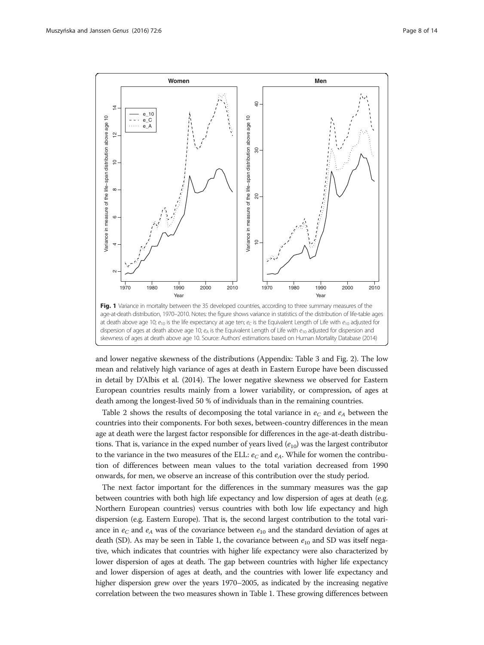<span id="page-7-0"></span>

and lower negative skewness of the distributions [\(Appendix](#page-11-0): Table 3 and Fig. 2). The low mean and relatively high variance of ages at death in Eastern Europe have been discussed in detail by D'Albis et al. [\(2014](#page-13-0)). The lower negative skewness we observed for Eastern European countries results mainly from a lower variability, or compression, of ages at death among the longest-lived 50 % of individuals than in the remaining countries.

Table [2](#page-8-0) shows the results of decomposing the total variance in  $e_C$  and  $e_A$  between the countries into their components. For both sexes, between-country differences in the mean age at death were the largest factor responsible for differences in the age-at-death distributions. That is, variance in the exped number of years lived  $(e_{10})$  was the largest contributor to the variance in the two measures of the ELL:  $e_C$  and  $e_A$ . While for women the contribution of differences between mean values to the total variation decreased from 1990 onwards, for men, we observe an increase of this contribution over the study period.

The next factor important for the differences in the summary measures was the gap between countries with both high life expectancy and low dispersion of ages at death (e.g. Northern European countries) versus countries with both low life expectancy and high dispersion (e.g. Eastern Europe). That is, the second largest contribution to the total variance in  $e_c$  and  $e_A$  was of the covariance between  $e_{10}$  and the standard deviation of ages at death (SD). As may be seen in Table [1](#page-6-0), the covariance between  $e_{10}$  and SD was itself negative, which indicates that countries with higher life expectancy were also characterized by lower dispersion of ages at death. The gap between countries with higher life expectancy and lower dispersion of ages at death, and the countries with lower life expectancy and higher dispersion grew over the years 1970–2005, as indicated by the increasing negative correlation between the two measures shown in Table [1.](#page-6-0) These growing differences between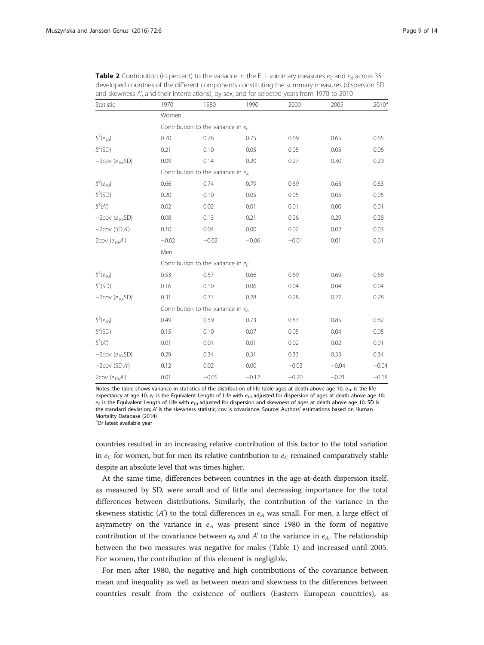| Statistic                        | 1970                                  | 1980                                  | 1990    | 2000    | 2005    | 2010 <sup>a</sup> |  |  |  |  |
|----------------------------------|---------------------------------------|---------------------------------------|---------|---------|---------|-------------------|--|--|--|--|
|                                  | Women                                 |                                       |         |         |         |                   |  |  |  |  |
|                                  |                                       | Contribution to the variance in $e_c$ |         |         |         |                   |  |  |  |  |
| $S^2(e_{10})$                    | 0.70                                  | 0.76                                  | 0.75    | 0.69    | 0.65    | 0.65              |  |  |  |  |
| $S^2(SD)$                        | 0.21                                  | 0.10                                  | 0.05    | 0.05    | 0.05    | 0.06              |  |  |  |  |
| $-2$ cov ( $e_{10}$ , SD)        | 0.09                                  | 0.14                                  | 0.20    | 0.27    | 0.30    | 0.29              |  |  |  |  |
|                                  |                                       | Contribution to the variance in $e_A$ |         |         |         |                   |  |  |  |  |
| $S^2(e_{10})$                    | 0.66                                  | 0.74                                  | 0.79    | 0.69    | 0.63    | 0.63              |  |  |  |  |
| $S^2(SD)$                        | 0.20                                  | 0.10                                  | 0.05    | 0.05    | 0.05    | 0.05              |  |  |  |  |
| $S^2(A')$                        | 0.02                                  | 0.02                                  | 0.01    | 0.01    | 0.00    | 0.01              |  |  |  |  |
| $-2$ cov ( $e_{10}$ , SD)        | 0.08                                  | 0.13                                  | 0.21    | 0.26    | 0.29    | 0.28              |  |  |  |  |
| $-2$ cov (SD, $A$ <sup>*</sup> ) | 0.10                                  | 0.04                                  | 0.00    | 0.02    | 0.02    | 0.03              |  |  |  |  |
| 2cov $(e_{10}A)$                 | $-0.02$                               | $-0.02$                               | $-0.06$ | $-0.01$ | 0.01    | 0.01              |  |  |  |  |
|                                  | Men                                   |                                       |         |         |         |                   |  |  |  |  |
|                                  |                                       | Contribution to the variance in $e_C$ |         |         |         |                   |  |  |  |  |
| $S^2(e_{10})$                    | 0.53                                  | 0.57                                  | 0.66    | 0.69    | 0.69    | 0.68              |  |  |  |  |
| $S^2(SD)$                        | 0.16                                  | 0.10                                  | 0.06    | 0.04    | 0.04    | 0.04              |  |  |  |  |
| $-2$ cov ( $e_{10}$ , SD)        | 0.31                                  | 0.33                                  | 0.28    | 0.28    | 0.27    | 0.28              |  |  |  |  |
|                                  | Contribution to the variance in $e_A$ |                                       |         |         |         |                   |  |  |  |  |
| $S^2(e_{10})$                    | 0.49                                  | 0.59                                  | 0.73    | 0.83    | 0.85    | 0.82              |  |  |  |  |
| $S^2(SD)$                        | 0.15                                  | 0.10                                  | 0.07    | 0.05    | 0.04    | 0.05              |  |  |  |  |
| $S^2(A')$                        | 0.01                                  | 0.01                                  | 0.01    | 0.02    | 0.02    | 0.01              |  |  |  |  |
| $-2$ cov ( $e_{10}$ , SD)        | 0.29                                  | 0.34                                  | 0.31    | 0.33    | 0.33    | 0.34              |  |  |  |  |
| $-2$ cov (SD, $A$ <sup>*</sup> ) | 0.12                                  | 0.02                                  | 0.00    | $-0.03$ | $-0.04$ | $-0.04$           |  |  |  |  |
| 2cov $(e_{10}A)$                 | 0.01                                  | $-0.05$                               | $-0.12$ | $-0.20$ | $-0.21$ | $-0.18$           |  |  |  |  |

<span id="page-8-0"></span>**Table 2** Contribution (in percent) to the variance in the ELL summary measures  $e_c$  and  $e_A$  across 35 developed countries of the different components constituting the summary measures (dispersion SD and skewness A', and their interrelations), by sex, and for selected years from 1970 to 2010

Notes: the table shows variance in statistics of the distribution of life-table ages at death above age 10;  $e_{10}$  is the life expectancy at age 10;  $e_C$  is the Equivalent Length of Life with  $e_{10}$  adjusted for dispersion of ages at death above age 10;  $e_A$  is the Equivalent Length of Life with  $e_{10}$  adjusted for dispersion and skewness of ages at death above age 10; SD is the standard deviation; A' is the skewness statistic; cov is covariance. Source: Authors' estimations based on Human Mortality Database [\(2014](#page-13-0)) <sup>a</sup>Or latest available year

countries resulted in an increasing relative contribution of this factor to the total variation in  $e_C$  for women, but for men its relative contribution to  $e_C$  remained comparatively stable despite an absolute level that was times higher.

At the same time, differences between countries in the age-at-death dispersion itself, as measured by SD, were small and of little and decreasing importance for the total differences between distributions. Similarly, the contribution of the variance in the skewness statistic  $(A')$  to the total differences in  $e_A$  was small. For men, a large effect of asymmetry on the variance in  $e_A$  was present since 1980 in the form of negative contribution of the covariance between  $e_0$  and A' to the variance in  $e_A$ . The relationship between the two measures was negative for males (Table [1](#page-6-0)) and increased until 2005. For women, the contribution of this element is negligible.

For men after 1980, the negative and high contributions of the covariance between mean and inequality as well as between mean and skewness to the differences between countries result from the existence of outliers (Eastern European countries), as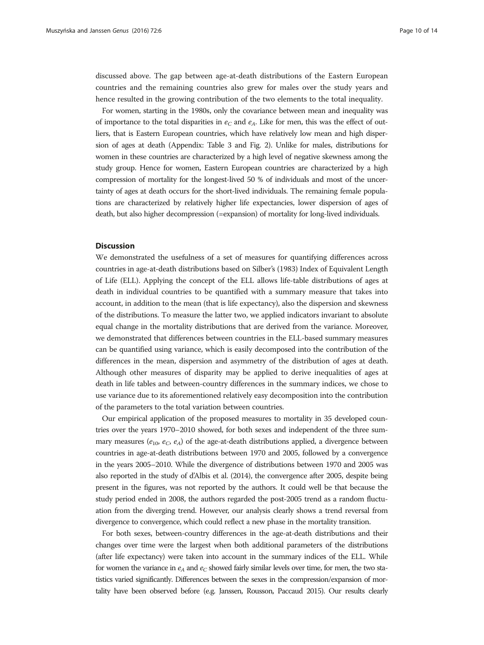discussed above. The gap between age-at-death distributions of the Eastern European countries and the remaining countries also grew for males over the study years and hence resulted in the growing contribution of the two elements to the total inequality.

For women, starting in the 1980s, only the covariance between mean and inequality was of importance to the total disparities in  $e_C$  and  $e_A$ . Like for men, this was the effect of outliers, that is Eastern European countries, which have relatively low mean and high dispersion of ages at death [\(Appendix:](#page-11-0) Table 3 and Fig. 2). Unlike for males, distributions for women in these countries are characterized by a high level of negative skewness among the study group. Hence for women, Eastern European countries are characterized by a high compression of mortality for the longest-lived 50 % of individuals and most of the uncertainty of ages at death occurs for the short-lived individuals. The remaining female populations are characterized by relatively higher life expectancies, lower dispersion of ages of death, but also higher decompression (=expansion) of mortality for long-lived individuals.

#### **Discussion**

We demonstrated the usefulness of a set of measures for quantifying differences across countries in age-at-death distributions based on Silber's [\(1983\)](#page-13-0) Index of Equivalent Length of Life (ELL). Applying the concept of the ELL allows life-table distributions of ages at death in individual countries to be quantified with a summary measure that takes into account, in addition to the mean (that is life expectancy), also the dispersion and skewness of the distributions. To measure the latter two, we applied indicators invariant to absolute equal change in the mortality distributions that are derived from the variance. Moreover, we demonstrated that differences between countries in the ELL-based summary measures can be quantified using variance, which is easily decomposed into the contribution of the differences in the mean, dispersion and asymmetry of the distribution of ages at death. Although other measures of disparity may be applied to derive inequalities of ages at death in life tables and between-country differences in the summary indices, we chose to use variance due to its aforementioned relatively easy decomposition into the contribution of the parameters to the total variation between countries.

Our empirical application of the proposed measures to mortality in 35 developed countries over the years 1970–2010 showed, for both sexes and independent of the three summary measures ( $e_{10}$ ,  $e_C$ ,  $e_A$ ) of the age-at-death distributions applied, a divergence between countries in age-at-death distributions between 1970 and 2005, followed by a convergence in the years 2005–2010. While the divergence of distributions between 1970 and 2005 was also reported in the study of d'Albis et al. ([2014\)](#page-13-0), the convergence after 2005, despite being present in the figures, was not reported by the authors. It could well be that because the study period ended in 2008, the authors regarded the post-2005 trend as a random fluctuation from the diverging trend. However, our analysis clearly shows a trend reversal from divergence to convergence, which could reflect a new phase in the mortality transition.

For both sexes, between-country differences in the age-at-death distributions and their changes over time were the largest when both additional parameters of the distributions (after life expectancy) were taken into account in the summary indices of the ELL. While for women the variance in  $e_A$  and  $e_C$  showed fairly similar levels over time, for men, the two statistics varied significantly. Differences between the sexes in the compression/expansion of mortality have been observed before (e.g. Janssen, Rousson, Paccaud [2015](#page-13-0)). Our results clearly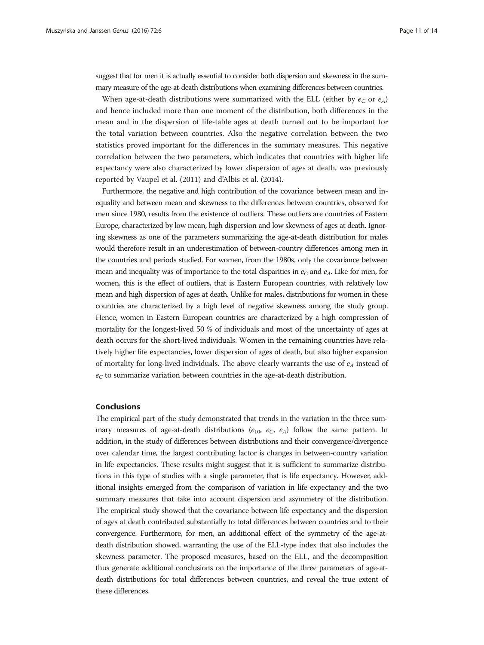suggest that for men it is actually essential to consider both dispersion and skewness in the summary measure of the age-at-death distributions when examining differences between countries.

When age-at-death distributions were summarized with the ELL (either by  $e_C$  or  $e_A$ ) and hence included more than one moment of the distribution, both differences in the mean and in the dispersion of life-table ages at death turned out to be important for the total variation between countries. Also the negative correlation between the two statistics proved important for the differences in the summary measures. This negative correlation between the two parameters, which indicates that countries with higher life expectancy were also characterized by lower dispersion of ages at death, was previously reported by Vaupel et al. ([2011](#page-13-0)) and d'Albis et al. [\(2014\)](#page-13-0).

Furthermore, the negative and high contribution of the covariance between mean and inequality and between mean and skewness to the differences between countries, observed for men since 1980, results from the existence of outliers. These outliers are countries of Eastern Europe, characterized by low mean, high dispersion and low skewness of ages at death. Ignoring skewness as one of the parameters summarizing the age-at-death distribution for males would therefore result in an underestimation of between-country differences among men in the countries and periods studied. For women, from the 1980s, only the covariance between mean and inequality was of importance to the total disparities in  $e_C$  and  $e_A$ . Like for men, for women, this is the effect of outliers, that is Eastern European countries, with relatively low mean and high dispersion of ages at death. Unlike for males, distributions for women in these countries are characterized by a high level of negative skewness among the study group. Hence, women in Eastern European countries are characterized by a high compression of mortality for the longest-lived 50 % of individuals and most of the uncertainty of ages at death occurs for the short-lived individuals. Women in the remaining countries have relatively higher life expectancies, lower dispersion of ages of death, but also higher expansion of mortality for long-lived individuals. The above clearly warrants the use of  $e_A$  instead of  $e_C$  to summarize variation between countries in the age-at-death distribution.

#### Conclusions

The empirical part of the study demonstrated that trends in the variation in the three summary measures of age-at-death distributions ( $e_{10}$ ,  $e_{C}$ ,  $e_{A}$ ) follow the same pattern. In addition, in the study of differences between distributions and their convergence/divergence over calendar time, the largest contributing factor is changes in between-country variation in life expectancies. These results might suggest that it is sufficient to summarize distributions in this type of studies with a single parameter, that is life expectancy. However, additional insights emerged from the comparison of variation in life expectancy and the two summary measures that take into account dispersion and asymmetry of the distribution. The empirical study showed that the covariance between life expectancy and the dispersion of ages at death contributed substantially to total differences between countries and to their convergence. Furthermore, for men, an additional effect of the symmetry of the age-atdeath distribution showed, warranting the use of the ELL-type index that also includes the skewness parameter. The proposed measures, based on the ELL, and the decomposition thus generate additional conclusions on the importance of the three parameters of age-atdeath distributions for total differences between countries, and reveal the true extent of these differences.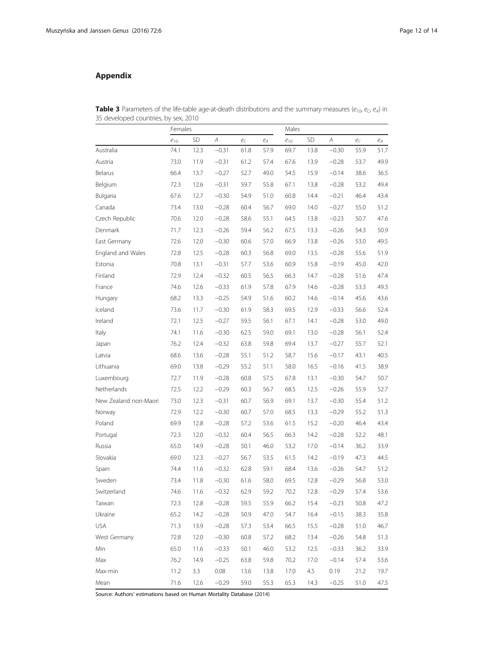#### <span id="page-11-0"></span>Appendix

|                                      | <b>Table 3</b> Parameters of the life-table age-at-death distributions and the summary measures ( $e_{10}$ , $e_G$ , $e_A$ ) in |
|--------------------------------------|---------------------------------------------------------------------------------------------------------------------------------|
| 35 developed countries, by sex, 2010 |                                                                                                                                 |
|                                      |                                                                                                                                 |

|                       | Females  |      |         |       |       | Males    |           |         |       |       |
|-----------------------|----------|------|---------|-------|-------|----------|-----------|---------|-------|-------|
|                       | $e_{10}$ | SD   | Α       | $e_C$ | $e_A$ | $e_{10}$ | <b>SD</b> | A       | $e_C$ | $e_A$ |
| Australia             | 74.1     | 12.3 | $-0.31$ | 61.8  | 57.9  | 69.7     | 13.8      | $-0.30$ | 55.9  | 51.7  |
| Austria               | 73.0     | 11.9 | $-0.31$ | 61.2  | 57.4  | 67.6     | 13.9      | $-0.28$ | 53.7  | 49.9  |
| Belarus               | 66.4     | 13.7 | $-0.27$ | 52.7  | 49.0  | 54.5     | 15.9      | $-0.14$ | 38.6  | 36.5  |
| Belgium               | 72.3     | 12.6 | $-0.31$ | 59.7  | 55.8  | 67.1     | 13.8      | $-0.28$ | 53.2  | 49.4  |
| Bulgaria              | 67.6     | 12.7 | $-0.30$ | 54.9  | 51.0  | 60.8     | 14.4      | $-0.21$ | 46.4  | 43.4  |
| Canada                | 73.4     | 13.0 | $-0.28$ | 60.4  | 56.7  | 69.0     | 14.0      | $-0.27$ | 55.0  | 51.2  |
| Czech Republic        | 70.6     | 12.0 | $-0.28$ | 58.6  | 55.1  | 64.5     | 13.8      | $-0.23$ | 50.7  | 47.6  |
| Denmark               | 71.7     | 12.3 | $-0.26$ | 59.4  | 56.2  | 67.5     | 13.3      | $-0.26$ | 54.3  | 50.9  |
| East Germany          | 72.6     | 12.0 | $-0.30$ | 60.6  | 57.0  | 66.9     | 13.8      | $-0.26$ | 53.0  | 49.5  |
| England and Wales     | 72.8     | 12.5 | $-0.28$ | 60.3  | 56.8  | 69.0     | 13.5      | $-0.28$ | 55.6  | 51.9  |
| Estonia               | 70.8     | 13.1 | $-0.31$ | 57.7  | 53.6  | 60.9     | 15.8      | $-0.19$ | 45.0  | 42.0  |
| Finland               | 72.9     | 12.4 | $-0.32$ | 60.5  | 56.5  | 66.3     | 14.7      | $-0.28$ | 51.6  | 47.4  |
| France                | 74.6     | 12.6 | $-0.33$ | 61.9  | 57.8  | 67.9     | 14.6      | $-0.28$ | 53.3  | 49.3  |
| Hungary               | 68.2     | 13.3 | $-0.25$ | 54.9  | 51.6  | 60.2     | 14.6      | $-0.14$ | 45.6  | 43.6  |
| Iceland               | 73.6     | 11.7 | $-0.30$ | 61.9  | 58.3  | 69.5     | 12.9      | $-0.33$ | 56.6  | 52.4  |
| Ireland               | 72.1     | 12.5 | $-0.27$ | 59.5  | 56.1  | 67.1     | 14.1      | $-0.28$ | 53.0  | 49.0  |
| Italy                 | 74.1     | 11.6 | $-0.30$ | 62.5  | 59.0  | 69.1     | 13.0      | $-0.28$ | 56.1  | 52.4  |
| Japan                 | 76.2     | 12.4 | $-0.32$ | 63.8  | 59.8  | 69.4     | 13.7      | $-0.27$ | 55.7  | 52.1  |
| Latvia                | 68.6     | 13.6 | $-0.28$ | 55.1  | 51.2  | 58.7     | 15.6      | $-0.17$ | 43.1  | 40.5  |
| Lithuania             | 69.0     | 13.8 | $-0.29$ | 55.2  | 51.1  | 58.0     | 16.5      | $-0.16$ | 41.5  | 38.9  |
| Luxembourg            | 72.7     | 11.9 | $-0.28$ | 60.8  | 57.5  | 67.8     | 13.1      | $-0.30$ | 54.7  | 50.7  |
| Netherlands           | 72.5     | 12.2 | $-0.29$ | 60.3  | 56.7  | 68.5     | 12.5      | $-0.26$ | 55.9  | 52.7  |
| New Zealand non-Maori | 73.0     | 12.3 | $-0.31$ | 60.7  | 56.9  | 69.1     | 13.7      | $-0.30$ | 55.4  | 51.2  |
| Norway                | 72.9     | 12.2 | $-0.30$ | 60.7  | 57.0  | 68.5     | 13.3      | $-0.29$ | 55.2  | 51.3  |
| Poland                | 69.9     | 12.8 | $-0.28$ | 57.2  | 53.6  | 61.5     | 15.2      | $-0.20$ | 46.4  | 43.4  |
| Portugal              | 72.3     | 12.0 | $-0.32$ | 60.4  | 56.5  | 66.3     | 14.2      | $-0.28$ | 52.2  | 48.1  |
| Russia                | 65.0     | 14.9 | $-0.28$ | 50.1  | 46.0  | 53.2     | 17.0      | $-0.14$ | 36.2  | 33.9  |
| Slovakia              | 69.0     | 12.3 | $-0.27$ | 56.7  | 53.5  | 61.5     | 14.2      | $-0.19$ | 47.3  | 44.5  |
| Spain                 | 74.4     | 11.6 | $-0.32$ | 62.8  | 59.1  | 68.4     | 13.6      | $-0.26$ | 54.7  | 51.2  |
| Sweden                | 73.4     | 11.8 | $-0.30$ | 61.6  | 58.0  | 69.5     | 12.8      | $-0.29$ | 56.8  | 53.0  |
| Switzerland           | 74.6     | 11.6 | $-0.32$ | 62.9  | 59.2  | 70.2     | 12.8      | $-0.29$ | 57.4  | 53.6  |
| Taiwan                | 72.3     | 12.8 | $-0.28$ | 59.5  | 55.9  | 66.2     | 15.4      | $-0.23$ | 50.8  | 47.2  |
| Ukraine               | 65.2     | 14.2 | $-0.28$ | 50.9  | 47.0  | 54.7     | 16.4      | $-0.15$ | 38.3  | 35.8  |
| <b>USA</b>            | 71.3     | 13.9 | $-0.28$ | 57.3  | 53.4  | 66.5     | 15.5      | $-0.28$ | 51.0  | 46.7  |
| West Germany          | 72.8     | 12.0 | $-0.30$ | 60.8  | 57.2  | 68.2     | 13.4      | $-0.26$ | 54.8  | 51.3  |
| Min                   | 65.0     | 11.6 | $-0.33$ | 50.1  | 46.0  | 53.2     | 12.5      | $-0.33$ | 36.2  | 33.9  |
| Max                   | 76.2     | 14.9 | $-0.25$ | 63.8  | 59.8  | 70.2     | 17.0      | $-0.14$ | 57.4  | 53.6  |
| Max-min               | 11.2     | 3.3  | 0.08    | 13.6  | 13.8  | 17.0     | 4.5       | 0.19    | 21.2  | 19.7  |
| Mean                  | 71.6     | 12.6 | $-0.29$ | 59.0  | 55.3  | 65.3     | 14.3      | $-0.25$ | 51.0  | 47.5  |

Source: Authors' estimations based on Human Mortality Database ([2014\)](#page-13-0)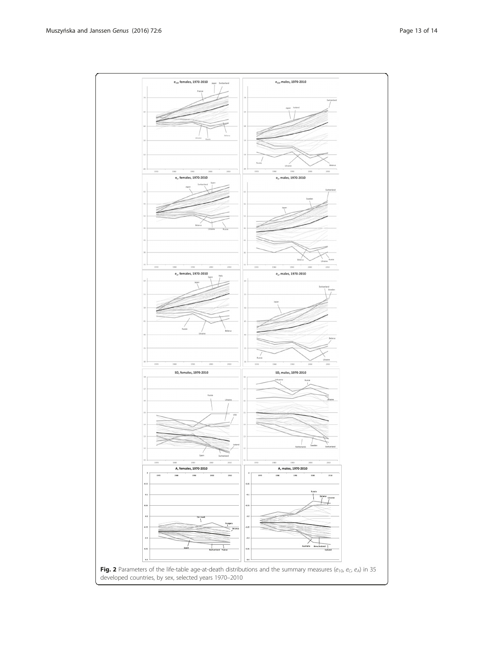